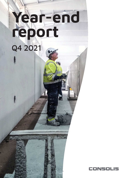## **Year-end report** Q4 2021



1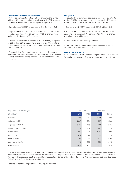#### **The forth quarter October-December**

• Net sales from continued operations amounted to € 308 million (262), corresponding to a sales growth of 17 percent. Currency effects had a positive impact of 1 percent.

• Operating profit (EBIT) amounted to  $\in$  12.3 million (-9.3).

• Adjusted EBITDA amounted to € 20.7 million (27.6), corresponding to a margin of 6.7 percent (10.5). Exchange rates had a positive impact of 0.5 percent.

• Order book increased 5 percent to € 925 million, compared to 878 million at the beginning of the quarter. Order intake in the quarter totaled  $\epsilon$  346 million, and the book to bill ratio corresponded to 1.12.

• Free cash flow from continued operations in the quarter amounted to € 34.4 million (30.2), primarily explained by seasonality effects in working capital. LTM cash conversion was 57 percent.

#### **Full year 2021**

• Net sales from continued operations amounted to € 1,106 million (1,037), corresponding to a sales growth of 7 percent. Currency effects had a positive impact of 1 percent.

• Operating profit (EBIT) came in at  $\in$  37.3 million (18.1).

• Adjusted EBITDA came in at € 81.7 million (95.3), corresponding to a margin of 7.4 percent (9.2). Mix of exchange rates had a neutral impact.

• The book to bill ratio corresponded to 1.22.

• Free cash flow from continued operations in the period amounted to €20.1 million (78.2).

#### **Events after the period**

• On January 31, 2022, Conoslis completed the sale of its Civil Works France business. For further information refer to p 8.

| 2020<br>$(\epsilon$ million)<br>2021<br>2020<br>2021<br>308<br>262<br>1,037<br>1,106<br>Net sales<br>81.7<br>95.3<br>Adjusted EBITDA<br>20.7<br>27.6<br>Adjusted EBITDA %<br>10.5%<br>9.2%<br>6.7%<br>7.4%<br>12.3<br>(9.3)<br>37.3<br>18.1<br>Operating profit (EBIT)<br>346<br>974<br>Order intake<br>259<br>1,352<br>925<br>651<br>925<br>651<br>Order book<br>1.22<br>Book to bill ratio<br>1.12<br>0.98<br>0.94<br>Cash conversion %<br>177%<br>135%<br>57%<br>105%<br>Free cash flow<br>34.4<br>30.2<br>20.1<br>78.2 | Key metrics. Consolis group * | Oct - Dec |  | Full year |  |
|----------------------------------------------------------------------------------------------------------------------------------------------------------------------------------------------------------------------------------------------------------------------------------------------------------------------------------------------------------------------------------------------------------------------------------------------------------------------------------------------------------------------------|-------------------------------|-----------|--|-----------|--|
|                                                                                                                                                                                                                                                                                                                                                                                                                                                                                                                            |                               |           |  |           |  |
|                                                                                                                                                                                                                                                                                                                                                                                                                                                                                                                            |                               |           |  |           |  |
|                                                                                                                                                                                                                                                                                                                                                                                                                                                                                                                            |                               |           |  |           |  |
|                                                                                                                                                                                                                                                                                                                                                                                                                                                                                                                            |                               |           |  |           |  |
|                                                                                                                                                                                                                                                                                                                                                                                                                                                                                                                            |                               |           |  |           |  |
|                                                                                                                                                                                                                                                                                                                                                                                                                                                                                                                            |                               |           |  |           |  |
|                                                                                                                                                                                                                                                                                                                                                                                                                                                                                                                            |                               |           |  |           |  |
|                                                                                                                                                                                                                                                                                                                                                                                                                                                                                                                            |                               |           |  |           |  |
|                                                                                                                                                                                                                                                                                                                                                                                                                                                                                                                            |                               |           |  |           |  |
|                                                                                                                                                                                                                                                                                                                                                                                                                                                                                                                            |                               |           |  |           |  |

The Issuer Compact Bidco B.V. is a private company with limited liability (besloten vennootschap met beperkte aansprakelijkheid) incorporated under the laws of the Netherlands. Compact Bidco B.V. is the direct parent company of Consolis Group. Figures in this report reflect the consolidated accounts of Consolis Group SAS. Refer to p 7 for comparison between Compact Bidco B.V. and Consolis Group SAS figures

\* Refering to continued operations. 2020 figures restated.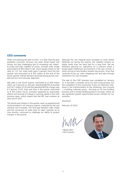## **CEO comments**

When summarizing the year of 2021, it is clear that the post pandemic economic recovery has been broad based and strong, but also challenging due to increasing raw material prices and high volatility of prices. Consolis order intake amounted to  $\epsilon$  346 million in Q4, which equals a book-to-bill ratio of 1.12. Our order book grew 5 percent since the last quarter and amounted to € 925 million at the end of the fourth quarter. Market demand remained strong across markets and our end costumer segments.

Net sales in the fourth quarter amounted to  $\epsilon$  308 million (262), up 17 percent vs. last year. Adjusted EBITDA amounted to € 20.7 million (27.6) and the adjusted EBITDA-margin was 6.7 percent (10.5). Free cash flow in the quarter amounted to € 34.4 million (30.2), primarily explained by seasonality effects and reversal of change in working capital in line with previous years, which means that the RCF was undrawn at year end of 2021.

The results and margins in the quarter were, as expected and communicated in our previous reports, impacted by the raw material cost increases. The time gap between order intake and the conversion of order book to sales, typically six to nine months, continued to challenge our ability to protect margins in the quarter.

Although the raw material price increases to some extent flattened out during the quarter, the volatility remains on higher levels than we have had for a long time. We are therefore planning our operations on a scenario where a broad based inflationary environment is the new normal, in which pricing of new tenders remains top priority, since that continues to be our main mitigating tool and pass through mechanism for cost increases.

The sale of the CWF business was completed on January 31. It has been a complex carve out and a long process, but the completion of this transaction marks an important milestone in the transformation to the remaining, new Consolis - a building materials group - focusing on its core building business with a market leading position in Europe, where we see significant growth opportunities across markets for our solutions.

Stockholm

February 25 2022

CEO Consolis

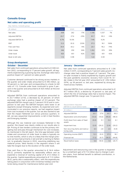## **Consolis Group**

## **Net sales and operating profit**

| Key metrics. Consolis group | Oct-Dec |       | $\triangle\%$ |       | Jan-Dec | $\Delta\%$ |
|-----------------------------|---------|-------|---------------|-------|---------|------------|
| $(\in$ million)             | 2021    | 2020  |               | 2021  | 2020    |            |
| Net sales                   | 308     | 262   | 17%           | 1,106 | 1,037   | 7%         |
| Adjusted EBITDA             | 20.7    | 27.6  | $-25%$        | 81.7  | 95.3    | $-14%$     |
| Adjusted EBITDA %           | 6.7%    | 10.5% |               | 7.4%  | 9.2%    |            |
| <b>EBIT</b>                 | 12.3    | (9.3) | 233%          | 37.3  | 18.1    | 106%       |
| Free cash flow              | 34.4    | 30.2  | 14%           | 20.1  | 78.2    | $-74%$     |
| Order intake                | 346     | 259   | 34%           | 1,352 | 974     | 39%        |
| Order book                  | 925     | 651   | 42%           | 925   | 651     | 42%        |
| Book to bill ratio          | 1.12    | 0.98  |               | 1.22  | 0.94    |            |

#### **Group development**

Net sales from continued operations amounted to € 308 million (262), corresponding to 17 percent sales growth, all segments experiencing a growing top line. Exchange rates had a positive impact of 1 percent on sales growth.

Customer demand continued to be strong across markets in the quarter and order intake amounted to  $\epsilon$  346 million, up 34 percent vs. last year and corresponding to a book-to-bill ratio of 1.12. Consolis order book continued to grow 5 percent in the quarter and amounted to € 925 million at the end of the quarter.

Adjusted EBITDA from continued operations amounted to € 20.7 million (27.6), a decrease by 25 percent. of which exchange rates had a positive impact of 0.5 percent. The adjusted EBITDA-margin was 6.7 percent (10.5) and in comparison to last year the EBITDA-margins were lower in all segments except Emerging markets. As expected and communicated in our previous reports, we had negative impact from cost increases in the quarter, but we also started to see that the impact flattened out versus previous quarters. In Q4, we saw sequential improvements vs Q3 in East Nordics and Emerging markets.

Although the raw material cost increases flattened in the quarter, the impact was clearly visible on our results also in Q4. Pricing of new tenders continues to be the primary mitigating tool and pass through mechanism for cost increases. As mentioned in the Q3 report, the time gap between order intake and conversion of order book to sales is typically six to nine months, which is why it is likely that the margin pressure we have had primarily in Q3 and Q4 is starting to flatten out, to gradually improve in 2022, assuming stabilizing raw material prices. West Nordics is the segment where it will take the longest due to the duration of the order book.

Free cash flow in the quarter amounted to  $\epsilon$  34.4 million (30.2), primarily explained by seasonality effects and as expected a reversal of working capital of € 27.0 million in the quarter. Capital expenditures amounted to € 11.0 million (8.0), partly also a seasonality effect, with the expenditures taking place in conjunction with Christmas holidays and factories being closed for maintenance before year end.

#### **October - December January - December**

Net sales from continued operations amounted to  $\epsilon$  1,106 million (1,037), corresponding to 7 percent sales growth. Exchange rates had a positive impact of 1 percent. The yearon-year increase is mainly explained by organic growth and the post pandemic economic recovery from Covid-19. Order intake in the full year 2021 amounted to  $\epsilon$  1.352 million (974), up 39 percent vs. last year, explained by strong demand across markets.

Adjusted EBITDA from continued operations amounted to € 81.7 million (95.3), a decline by 14 percent vs. last year, of which the mix of exchange rates had a neutral impact. The adjusted EBITDA-margin was 7.4 percent (9.2).

#### Reconciliation Adjusted

| <b>EBITDA to result before taxes</b>             |        | Oct - Dec | Jan - Dec |        |
|--------------------------------------------------|--------|-----------|-----------|--------|
| $(\epsilon$ million)                             | 2021   | 2020      | 2021      | 2020   |
| Adjusted EBITDA                                  | 20.7   | 27.6      | 81.7      | 95.3   |
| Depreciation and amortization                    | (13.0) | (15.6)    | (45.0)    | (48.3) |
| Profit (loss) from sales of fixed<br>assets      | (0.0)  | 5.1       | 0.4       | 6.1    |
| Impairment loss                                  | (2.0)  | (29.2)    | (2.4)     | (29.2) |
| Non recurring items and restruc-<br>turing costs | 6.5    | 2.8       | 2.6       | (5.9)  |
| Operating income (EBIT)                          | 12.3   | (9.3)     | 37.3      | 18.1   |
| Financial net                                    | (7.2)  | (9.7)     | (36.0)    | (44.8) |
| Result before taxes                              | 5.0    | (18.9)    | 1.4       | (26.7) |

Adjustment and restucturing cost in the quarter is impacted by a curtailment gain of  $\epsilon$  7.6 million due to change in pension plans, from defined benefit to defined contribution, in the Netherlands.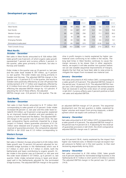#### **Development per segment**

|                             | Net sales |      |       |           | Adjusted EBITDA |           |           |      |
|-----------------------------|-----------|------|-------|-----------|-----------------|-----------|-----------|------|
|                             | Oct - Dec |      |       | Jan - Dec |                 | Oct - Dec | Jan - Dec |      |
| $(\epsilon$ million)        | 2021      | 2020 | 2021  | 2020      | 2021            | 2020      | 2021      | 2020 |
| West Nordic                 | 108       | 99   | 402   | 381       | (1.4)           | 5.6       | 7.7       | 20.3 |
| East Nordic                 | 77        | 62   | 267   | 257       | 5.0             | 5.9       | 12.5      | 15.6 |
| Western Europe              | 69        | 60   | 256   | 256       | 6.7             | 11.1      | 33.5      | 38.2 |
| Eastern Europe              | 23        | 16   | 89    | 66        | 0.8             | 1.4       | 6.7       | 6.9  |
| <b>Emerging Markets</b>     | 38        | 30   | 122   | 98        | 7.5             | 4.6       | 21.0      | 13.1 |
| Elimination/unallocated     | (7)       | (4)  | (30)  | (21)      | 2.1             | (0.9)     | 0.4       | 1.2  |
| <b>Total Consolis Group</b> | 308       | 262  | 1,106 | 1,037     | 20.7            | 27.6      | 81.7      | 95.3 |
|                             |           |      |       |           |                 |           |           |      |

#### **West Nordic**

#### **October - December**

Net sales in West Nordic amounted to € 108 million (99). Sales growth was 9 percent, of which organic sales growth represented 7 percent and currency effects 2 percent. In the quarter, sales grew primarily in Denmark, but also in Norway and Sweden.

Order intake in the quarter was up 23 percent vs. last year and the order book totaled  $\epsilon$  391 million, up 4 percent vs. last quarter. The order intake was strong primarily in Sweden and Norway. The adjusted EBITDA-margin in the quarter was -1.3 percent (5.7). In the quarter, the results in Sweden were positively affected by an one-off pension fee reimbursement of  $\epsilon$  1.7 million and negatively affected by € 2.3 million from one-off write-downs of certain projects, affecting the adjusted EBITDA margin by -0.5 percent. If adjusting the net of these effects, the adjusted

EBITDA-margin was -0.8 percent in the quarter. The de-

#### **East Nordic**

#### **October - December**

Net sales in East Nordic amounted to  $\epsilon$  77 million (62) corresponding to sales growth of 25 percent. Order intake increased 58 percent vs. last year and the order book totaled € 210 million, up 10 percent vs last quarter. explained by an improved market situation and post pandemic recovery in both Finland and the Baltics. The adjusted EBIT-DA-margin in the quarter was 6.6 percent (9.6), the last year comparative figures positively impacted by a large project in Finland, where guarantee provisions of  $\epsilon$  2.6 million were released end of project. If adjusting for this reversal of guarantee provision, the comparative adjusted EBITDA in Q4 2020 was € 3.3 million corresponding to

#### **Western Europe**

#### **October - December**

Net sales in Western Europe amounted to € 69 million (60). Sales growth was 15 percent (24 percent adjusted for terminated bridge buinsess in the Netherlands which was € 0.7 million in 2021 and  $\epsilon$  4.7 million in 2020), both the Netherlands and Spain contributing to organic growth. Order intake in the quarter was up 9 percent vs. last year and the order book totaled  $\epsilon$  137 million, up 6 percent vs. last quarter. Order intake remained strong in Spain and developed well in the Netherlands adjusted for the terminated bridge business. The adjusted EBITDA-margin in the quarter

cline in profit margins is mainly explained by higher raw material costs continuing to be visible in the results. The long lead times in West Nordics continues to cause the margin recovery to be slower than in other segments. Hence, we expect it will take another two quarters before we can see sizeable sequential improvements of margins, despite the fact that we have been able to raise prices to mitigate the impact from increased raw material cost.

#### **January - December**

Net sales amounted to € 402 million (381), corresponding to a sales growth of 6 percent. The adjusted EBITDA-margin in the period was 1.9 percent (5.3). The adjusted EBITDA-margin was 2.0% if adjusting for the pension fee reimbursement that we received in and the write-down of certain projects in Q4 2021. Currency effects were 3 percent positive on both net sales and adjusted EBITDA.

an adjusted EBITDA-margin of 5.4 percent. The sequential development over the last quarters is stable, explained by higher volumes and impact from pricing measures, a development which we expect will continue in 2022.

#### **January - December**

Net sales amounted to € 267 million (257) corresponding to a sales growth of 4 percent. The adjusted EBITDA-margin in the period was 4.6 percent (6.1). If adjusting for the reversal of guarantee provisions in Q4 2020, the 2020 comparative adjusted EBITDA-margin was 5.1 percent.

was 9.6 percent (18.4), mainly explained by the impact from higher raw material costs. In Western Europe we expect margin pressure to flatten out in the next quarter, to then start recovering sequentially during 2022.

#### **January - December**

Net sales amounted to  $\epsilon$  256 million (256). Sales growth was 8 percent adjusted for terminated bridge business in the Netherlands (€ 4.7 million in 2021 and € 21.8 million in 2020). The adjusted EBITDA-margin in the period was 13.1 percent (14.9).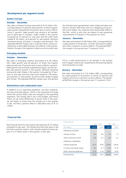#### **Development per segment (cont)**

#### **Eastern Europe**

#### **October - December**

Net sales in Eastern Europe amounted to € 23 million (16), corresponding to 41 percent sales growth, of which organic sales growth represented 43 percent and currency effects minus 2 percent. Sales growth was strong in all markets and in particular in Hungary. Order intake in the quarter increased by 37 percent vs. last year and the order book totaled € 34 million, up 9 percent vs. last quarter. Demand remained strong, primarily in Hungary and Romania. The adjusted EBITDA-margin was 3.3 percent (8.6), mainly explained by unfavorable business mix effects in the quarter. Eastern Europe is the segment where we structurally have

#### **Emerging markets**

#### **October - December**

Net sales in Emerging markets amounted to € 38 million (30). Sales growth was 28 percent, of which the organic sales growth was 27 percent and currency effects 1 percent. Sales growth was primarily explained by Egypt, but all markets had positive growth in the quarter. Demand remained strong and order intake in the quarter increased by 97 percent vs. last year and the order book totaled  $\epsilon$  178 million, up 6 percent vs. last quarter, driven by order intake in Egypt and Tunisia. The adjusted EBITDA-margin was 19.8 percent the shortest time gap between order intake and sales and hence a shorter lead-time until our mitigating pricing actions from higher raw material costs should take effect in the P&L, which is why why we expect to see sequential improvement of margins in the quarters to come.

#### **January - December**

Net sales amounted to € 89 million (66), corresponding to a sales growth of 34 percent, of which 36 percent organic and minus 2 percent currency effects. The adjusted EBIT-DA-margin in the period was 7.5 percent (10.4).

(15.3), a solid performance in all markets in the quarter and in Egypt in particular, explained by the growing topline and economies of scale.

#### **January - December**

Net sales amounted to € 122 million (98), corresponding to a sales growth of 25 percent, of which 27 percent was organic and minus 2 percent currency effects. The adjusted EBITDA-margin in the period was 17.2 percent (13.4).

#### **Eliminations and unallocated costs**

In addition to our operating segments, we have unallocated costs and eliminations, which is the mechanism through which the central SG&A costs are charged to the operating segments. The charge rate is set in the budget, and hence there can be some differences if actual costs in the quarter are higher or lower than the charge out in the quarter. In Q4, we had a positive effect in allocated costs of  $\epsilon$  2.1 million.

#### **Financial Net**

Net financial items for the quarter decreased by  $\epsilon$  2.5 million compared to last year. The refinancing that took place in Q2 has had a positive impact, with interest expences being approx. € 3.2 million lower in the quarter vs last year.

| Financial net             |       |           |           |        |  |
|---------------------------|-------|-----------|-----------|--------|--|
|                           |       | Oct - Dec | Jan - Dec |        |  |
| $(\in$ million )          | 2021  | 2020      | 2021      | 2020   |  |
| <b>FINANCIAL INCOME</b>   |       |           |           |        |  |
| Interest income           | 0.3   | 0.4       | 1.4       | 1.3    |  |
| Other financial income    | 0.8   | 0.7       | 2.0       | 2.2    |  |
| <b>FINANCIAL EXPENSES</b> |       |           |           |        |  |
| Interest expenses         | (6.7) | (9.9)     | (31.6)    | (39.4) |  |
| Currency exchange losses  | 0.0   | 0.7       | (1.3)     | (2.4)  |  |
| Other financial expenses  | (1.5) | (1.5)     | (6.3)     | (6.5)  |  |
| Financial loss            | (7.2) | (9.7)     | (36.0)    | (44.8) |  |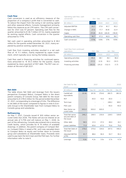#### **Cash flow**

Cash conversion is used as an efficiency measure of the proportion of a company's profit that is converted to cash. To reduce the impact from the swing in net working capital and other seasonal effects. Consolis management primarily follow this measure as an LTM metric. The LTM cash conversion for 2021 was 57 percent. Operating cash flow for the quarter amounted to € 36.7 million (37.3), mainly explained by working capital effects. Cash conversion in the quarter amounted to 177%.

Net cash used in operating activities amounted to  $\epsilon$  45.3 million for the quarter ended December 30. 2021, mainy explaned by positive working capital swings.

Cash flow from investing activities resulted in a net cash flow of  $-\epsilon$  11.1 million, mainly explained by capex investment, which typically occur during the holiday seasons.

Cash flow used in financing activities for continued operations amounted to  $-\epsilon$  30.3 million for the quarter, mainly explained by down payment of RCF debt. The RCF was undrawn at the end of Q4 2021.

| conversion          | $Oct - Dec$ |        |        | Jan - Dec |
|---------------------|-------------|--------|--------|-----------|
| $(\in$ million)     | 2021        | 2020   | 2021   | 2020      |
| Adjusted EBITDA     | 20,7        | 27,6   | 81.7   | 95,3      |
| Change in NWC       | 27,0        | 17.7   | (8.9)  | 22,4      |
| Capex               | (11, 0)     | (8, 0) | (26.0) | (18, 0)   |
| Operating cash flow | 36,7        | 37,3   | 46,9   | 99,7      |
| Cash conversion     | 177%        | 135%   | 57%    | 105%      |

#### Cash flow from continued

Operating cash flow, cash

| operations           | $Oct - Dec$ |        | Jan - Dec |        |
|----------------------|-------------|--------|-----------|--------|
| $(\epsilon$ million) | 2021        | 2020   | 2021      | 2020   |
| Operating activities | 45.3        | 38.1   | 46.1      | 96.0   |
| Investing activities | (11.1)      | (2.3)  | 92.2      | (14.1) |
| Financing activities | (30.3)      | (25.2) | (122.1)   | (1.7)  |

#### **Net debt**

The table shows Net Debt and leverage from the Issuers perspective (Compact Bidco). Compact Bidco is the direct parent company of Consolis Group. Net debt for the issuer amounted to € 378.6 million for the period ended December 31, 2021. corresponding to a leverage of 4.6x. The difference in net debt of the issuer compared to figures in note 6 (Consolis Group) is the Shareholder loan from Compact Bidco to Consolis group and subsidaries.

#### **Refi nancing**

On May 7, 2021, Consolis issued € 300 million senior secured notes due 2026. The Notes will accrue interest at an annual rate of 5.75% and will mature on May 1, 2026. As part of the refinancing, Consolis also entered into a revolving credit facility, which provides for € 75 million of available drawings. In addition, the parent company of Compact Bidco, Compact Midco 2 raised a PIK, wich was cascaded down to Compact Bidco as equity and further down to Conoslis group and subsidareis as Shareholder loans. Proceeds were used to pay back the term loan and the PGE loan. For further information refer to note 6.

| Net Debt for the<br>Issuer                               |        | 2021   |               |        |        |  |
|----------------------------------------------------------|--------|--------|---------------|--------|--------|--|
| $(\epsilon$ million)                                     | Dec 31 | Sep 30 | <b>Jun 30</b> | Mar 30 | Dec 31 |  |
| Cash&Cash<br>equivalents                                 | (51.8) | (61.5) | (79.4)        | (89.7) | (80.3) |  |
| <b>RCF</b>                                               |        | 30.0   | 10.0          | 30.0   |        |  |
| Term Ioan                                                |        |        |               | 248.2  | 369.1  |  |
| PGE Loan                                                 |        |        |               | 40.0   | 40.0   |  |
| New Senior se-<br>cured notes                            | 300,0  | 300.0  | 300.0         |        |        |  |
| <b>Total Net senior</b><br>secured debt of<br>the issuer | 248,2  | 268.5  | 230.6         | 228.5  | 328.8  |  |
| Other debt                                               | 58,5   | 41.5   | 37.0          | 48.4   | 42.1   |  |
| Lease Liabilities                                        | 71,9   | 65.6   | 67.0          | 70.6   | 75.6   |  |
| Total Net Debt of<br>the issuer                          | 378,6  | 375.6  | 334.6         | 347.5  | 446.5  |  |
| Adjusted EBITDA<br>(LTM)                                 | 81,7   | 88.6   | 94.4          | 93.7   | 95.3   |  |
| Leverage                                                 | 4,6x   | 4.2x   | 3.5x          | 3.7x   | 4.7x   |  |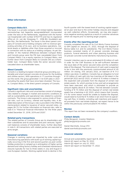#### **Other information**

#### **Compact Bidco B.V.**

The Issuer is a private company with limited liability (besloten vennootschap met beperkte aansprakelijkheid) incorporated under the laws of the Netherlands, registered with the Kamer van Koophandel with number 67537715 and has its registered office at J.G. van der Stoopweg 11, 2396 BH, Koudekerk aan den Rijn, the Netherlands. The Issuer is the direct parent company of Consolis and a holding company with no revenue-generating activities of its own, and no business operations, material assets or liabilities other than those acquired or incurred in connection with its status as a holding company. As per December 31 the material differences between Compact Bidco and Consolis group were the PIK loan cascadaded down from Compact Midco 2 as a equity injection to Compact Bidco, and further down from Compact Bidco to Consolis SAS as a shareholder loan. Compact Bidco holds the senior secured notes, cascaded down as shareholder loans.

#### **About Consolis**

Consolis is a leading European industrial group providing sustainable and smart precast concrete structures for the building and utilities sectors, With operations in 17 countries throughout the world, the group generated 1.1 bn EUR sales in 2021 excluding the assets that have since been divested. The Issuer, Compact Bidco, is the direct parent company of Consolis.

#### **Significant risks and uncertainties**

Consolis's significant risks and uncertainties consist of strategic risks related to changes in market and economic conditions as well as sustainability and operational risks related to customer contracts. The Group is also exposed to various kinds of financial risks, such as currency, interest and liquidity risks. A detailed description of the Group's risks is provided in the Offering memorandum related to Issuance of senior secured notes, on pages 28-73. For further information on financial risks, refer to note 6 in "Historical Financial Information for the three years ended December 31, 2018, 2019 and 2020".

#### **Related party transactions**

The related parties of Consolis Group are its shareholders and their subsidiaries and its associates and joint ventures. Significant balances consists of shareholder loans, further described in note 6. All transactions with related parties are executed at arms length.

#### **Seasonal variations**

Changes in working capital are impacted by order cycle and manufacturing operations with build-up of working capital typically occurring in the first and second quarters as post-winter holiday production is ramped up in anticipation of higher spring demand and rolling factory holiday and scheduled maintenance closures typically for two to three weeks in July and August in core European markets. Working capital tends to decline in the fourth quarter with the lowest level of working capital expected at year-end due to the winter holiday closures and stepped up cash collection efforts. Occasionally, we may also experience negative working capital as a result of customer advances which we require prior to starting larger projects.

#### **Events after the reporting period**

Consolis completed the sale of its Civil Works France business to EIM Capital on January 31, 2022, through the disposal of Bonna Sabla S.A. and its subsidiaries. The Civil Works France business consisted mainly of (i) precast concrete drainage products, funeral elements and urban planning business and (ii) precast concrete tunnel elements manufacturing business.

Consolis' intention was to use an estimated € 45 million of cash in order for the CWF Business to be self-sufficient between the issue date of the senior secured notes and the completion date of the disposal. The total amount of cash used is expected to be in line with the previously communicated amount  $\epsilon$  45 million. On closing, 31st January 2022, an injection of € 17.3 million was done. In addition, Consolis has an obligation to fund € 20 million of cash split into two tranches at the latest in the period Q4 2022 and Q1 2023, of which € 15 million is linked to the expected cash proceeds from the disposal of certain real estate assets, for which promise to buy and sell arrangements have been executed, and which is estimated to provide an amount slightly above € 20 million. The link between Consolis' funding of € 15 million and the disposal of certain real estate assets has a backstop in Q1 2023, which means that Consolis, if it for some reason would be unable to finalize the disposal, would need to fund the € 15 million in Q1 2023 from its operating cash flow. In totality, including cash injections and expected proceeds from real estate disposal, we expect hence to be within the previously communicated  $\epsilon$  45 million.

#### **Review**

This report has not been reviewed by the company's auditors.

#### **Contact details**

Philip Bergquist, Investor Relations philip.bergquist@consolis.com

Daniel Warnholtz, Group CFO daniel.warnholtz@consolis.com

#### **Financial calendar**

Annual and sustainability report April 8, 2022 Interim Q1 report on May 19, 2022 Interim Q2 report on July 22, 2022 Interim Q3 report on November 17, 2022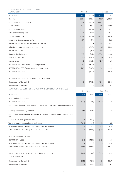## CONSOLIDATED INCOME STATEMENT.

| CONDENSED                                                                                   | Oct - Dec |           | Jan - Dec |           |
|---------------------------------------------------------------------------------------------|-----------|-----------|-----------|-----------|
| $(\in$ million)                                                                             | 2021      | 2020      | 2021      | 2020      |
| Net sales                                                                                   | 308.2     | 262.4     | 1,106.1   | 1,036.7   |
| Production cost of goods sold                                                               | (254.7)   | (203.0)   | (888.3)   | (812.2)   |
| <b>SALES MARGIN</b>                                                                         | 53.5      | 59.4      | 217.7     | 224.5     |
| Production overheads                                                                        | (17.0)    | (21.9)    | (76.1)    | (78.7)    |
| Sales and marketing costs                                                                   | (8.4)     | (7.1)     | (29.2)    | (26.6)    |
| Administrative costs                                                                        | (19.3)    | (17.3)    | (70.9)    | (66.9)    |
| Research and development costs                                                              | (1.1)     | (1.1)     | (4.9)     | (5.2)     |
| OPERATING PROFIT FROM ORDINARY ACTIVITIES                                                   | 7.7       | 12.0      | 36.7      | 47.0      |
| Other income and expenses from operations                                                   | 4.6       | (21.3)    | 0.6       | (28.9)    |
| OPERATING PROFIT                                                                            | 12.3      | (9.3)     | 37.3      | 18.1      |
| Financial (loss) / income                                                                   | (7.2)     | (9.7)     | (36.0)    | (44.8)    |
| PROFIT BEFORE TAX                                                                           | 5.0       | (18.9)    | 1.4       | (26.7)    |
| Income taxes                                                                                | (5.2)     | (12.9)    | (12.7)    | (14.9)    |
| NET PROFIT / (LOSS) from continued operations                                               | (0.1)     | (31.9)    | (11.3)    | (41.7)    |
| NET PROFIT / (LOSS) from discontinued operations                                            | (8.1)     | (43.9)    | (1.0)     | (44.1)    |
| NET PROFIT / (LOSS)                                                                         | (8.2)     | (75.7)    | (12.3)    | (85.8)    |
|                                                                                             |           |           |           |           |
| NET PROFIT / (LOSS) FOR THE PERIOD ATTRIBUTABLE TO:                                         |           |           |           |           |
| Shareholders of Consolis Group                                                              | (9.5)     | (76.3)    | (16.6)    | (88.0)    |
| Non-controlling interest                                                                    | 1.3       | 0.6       | 4.3       | 2.2       |
|                                                                                             |           |           |           |           |
| CONSOLIDATED COMPREHENSIVE INCOME STATEMENT. CONDENSED                                      |           |           |           |           |
|                                                                                             |           | Oct - Dec |           | Jan - Dec |
| $(\epsilon$ million)                                                                        | 2021      | 2020      | 2021      | 2020      |
| From continued operations                                                                   |           |           |           |           |
| NET PROFIT / (LOSS)                                                                         | (0.1)     | (31.9)    | (11.3)    | (41.7)    |
| Components that may be reclassified to statement of income in subsequent periods:           |           |           |           |           |
| Currency translation adjustments                                                            | (0.5)     | (2.6)     | 2.6       | (1.8)     |
| Components that will not be reclassified to statement of income in subsequent peri-<br>ods: |           |           |           |           |
| Change in actuarial gains and losses                                                        | 3.1       | (3.4)     | 3.1       | (3.4)     |
| Tax on change in actuarial gains and losses                                                 | (0.4)     | 0.8       | (0.4)     | 0.8       |
| OTHER COMPREHENSIVE INCOME (LOSS) FOR THE PERIOD                                            | 2.2       | (5.1)     | 5.3       | (4.4)     |
| COMPREHENSIVE INCOME (LOSS) FOR THE PERIOD                                                  | 2.0       | (37.0)    | (6.1)     | (46.0)    |
|                                                                                             |           |           |           |           |
| From discontinued operations                                                                |           |           |           |           |
| NET PROFIT / (LOSS)                                                                         | (8.1)     | (43.9)    | (1.0)     | (44.1)    |
| OTHER COMPREHENSIVE INCOME (LOSS) FOR THE PERIOD                                            | 1.4       | (0.1)     | 1.4       | (2.3)     |
| COMPREHENSIVE INCOME (LOSS) FOR THE PERIOD                                                  | (6.6)     | (44.0)    | 0.5       | (46.4)    |
|                                                                                             |           |           |           |           |
| TOTAL COMPREHENSIVE INCOME (LOSS) FOR THE PERIOD                                            | (4.6)     | (81.0)    | (5.6)     | (92.4)    |
| ATTRIBUTABLE TO:                                                                            |           |           |           |           |
| Shareholders of Consolis Group                                                              | (5.9)     | (78.5)    | (9.9)     | (93.7)    |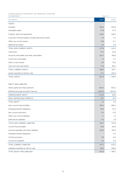CONSOLIDATED STATEMENT OF FINANCIAL POSITION.

| CONDENSED                                              |         | Dec 31  |
|--------------------------------------------------------|---------|---------|
| $(\epsilon$ million)                                   | 2021    | 2020    |
| <b>ASSETS</b>                                          |         |         |
| Goodwill                                               | 204.6   | 204.8   |
| Intangible assets                                      | 57.8    | 57.5    |
| Property. plant and equipment                          | 236.5   | 238.5   |
| Long-term financial assets including derivative assets | 3.4     | 3.3     |
| Other non-current assets                               | 10.8    | 12.1    |
| Deferred tax assets                                    | 4.6     | 5.9     |
| TOTAL NON-CURRENT ASSETS                               | 517.8   | 522.2   |
| Inventories                                            | 61.3    | 42.6    |
| Accounts receivables and other receivables             | 235.2   | 195.6   |
| Current tax receivables                                | 1.4     | 3.7     |
| Other current assets                                   | 8.9     | 10.9    |
| Cash and cash equivalents                              | 51.8    | 80.3    |
| TOTAL CURRENT ASSETS                                   | 358.6   | 333.1   |
| Assets classified as held for sale                     | 51.2    | 292.9   |
| TOTAL ASSETS                                           | 927.6   | 1 148.2 |
|                                                        |         |         |
| <b>EQUITY AND LIABILITIES</b>                          |         |         |
| Share capital and share premium                        | 403.3   | 403.3   |
| Retained earnings and other reserves                   | (425.2) | (412.2) |
| SHAREHOLDERS' EQUITY                                   | (21.9)  | (8.9)   |
| NON-CONTROLLING INTERESTS                              | 23.1    | 16.5    |
| <b>TOTAL EQUITY</b>                                    | 1.2     | 7.6     |
| Non-current financial debts                            | 382.4   | 466.2   |
| Employee benefit obligations                           | 20.6    | 32.2    |
| Non-current provisions                                 | 11.2    | 12.5    |
| Other non-current liabilities                          | 1.1     | 1.2     |
| Deferred tax liabilities                               | 4.0     | 1.8     |
| TOTAL NON-CURRENT LIABILITIES                          | 419.2   | 513.9   |
| Current financial debts                                | 76.6    | 60.5    |
| Accounts payables and other liabilities                | 329.9   | 291.5   |
| Employee benefit obligations                           |         | 4.7     |
| Current provisions                                     | 5.8     | 8.5     |
| Income tax payables                                    | 5.3     | 4.9     |
| TOTAL CURRENT LIABILITIES                              | 417.7   | 370.0   |
| Liabilities classified as held for sale                | 89.5    | 256.6   |
| TOTAL EQUITY AND LIABILITIES                           | 927.6   | 1 148.2 |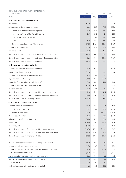CONSOLIDATED CASH FLOW STATEMENT.

| CONDENSED                                                          | Oct - Dec |        |         | Jan - Dec |
|--------------------------------------------------------------------|-----------|--------|---------|-----------|
| $(\in$ million)                                                    | 2021      | 2020   | 2021    | 2020      |
| Cash flows from operating activities                               |           |        |         |           |
| Net income                                                         | (0.1)     | (31.9) | (11.3)  | (41.7)    |
| Adjustments for income and expenses:                               | 18.2      | 55.8   | 72.5    | 125.0     |
| - Depreciation and amortization expenses                           | 13.0      | 15.3   | 45.1    | 48.0      |
| - Impairment of intangible / tangible assets                       | 2.0       | 29.2   | 2.4     | 29.2      |
| - Financial income and expenses                                    | 7.2       | 9.7    | 35.9    | 44.8      |
| - Taxes                                                            | 5.2       | 12.9   | 12.7    | 14.9      |
| - Other non-cash (expenses) / income. net                          | (9.2)     | (11.1) | (23.6)  | (11.9)    |
| Change in working capital                                          | 27.0      | 17.7   | (8.9)   | 22.4      |
| Income tax paid                                                    | 0.3       | (3.6)  | (6.3)   | (9.6)     |
| Net cash from (used in) operating activities - cont. operations    | 45.3      | 38.1   | 46.1    | 96.0      |
| Net cash from (used in) operating activities - discont. operations | 3.9       | (1.0)  | (30.0)  | (16.7)    |
| Net cash from (used in) operating activities                       | 49.3      | 37.3   | 16.0    | 79.5      |
| Cash flows from investing activities                               |           |        |         |           |
| Purchase of Property. Plant and Equipments                         | (9.0)     | (6.4)  | (21.3)  | (15.1)    |
| Acquisitions of intangible assets                                  | (2.0)     | (1.6)  | (4.7)   | (2.9)     |
| Proceeds from the sale of non-current assets                       | 0.1       | 5.5    | 2.0     | 7.1       |
| Impact in consolidation scope change                               | (0.4)     | (0.1)  | (0.0)   | (4.5)     |
| Disposals of business (net of cash divested)                       | 0.0       | (0.1)  | 114.8   | (0.0)     |
| Change in financial assets and other assets                        | (0.1)     | (0.0)  | 0.1     | (0.0)     |
| Interests received                                                 | 0.3       | 0.4    | 1.3     | 1.3       |
| Net cash from (used in) investing activities - cont. operations    | (11.1)    | (2.3)  | 92.2    | (14.1)    |
| Net cash from (used in) investing activities - discont. operations | (3.8)     | 2.1    | (5.2)   | (0.5)     |
| Net cash from (used in) investing activities                       | (14.9)    | (0.2)  | 87.0    | (14.6)    |
| Cash flows from financing activities                               |           |        |         |           |
| Proceeds from issuance of shares                                   | (0.0)     | 0.0    | (0.0)   | 20.0      |
| Proceeds from borrowings                                           | 7.7       | 0.7    | 257.2   | 120.8     |
| Repayment of borrowings                                            | (46.0)    | (11.7) | (360.3) | (110.6)   |
| Net proceeds from factoring                                        | 19.4      | (5.2)  | 21.0    | (13.1)    |
| Other changes in financial liabilities                             | (0.7)     | (7.8)  | (5.0)   | (3.6)     |
| Interest paid                                                      | (10.5)    | (1.0)  | (33.6)  | (14.9)    |
| Dividends paid                                                     | (0.1)     | (0.3)  | (1.3)   | (0.4)     |
| Net cash from (used in) financing activities - cont. operations    | (30.3)    | (25.2) | (122.1) | (1.7)     |
| Net cash from (used in) financing activities - discont. operations | (1.2)     | (6.0)  | (5.8)   | (13.8)    |
| Net cash from (used in) financing activities                       | (31.5)    | (31.2) | (127.9) | (15.5)    |
|                                                                    |           |        |         |           |
| Net Cash and cash equivalents at beginning of the period           | 59.2      | 93.3   | 80.0    | 49.5      |
| Change in cash and cash equivalents                                | (2.0)     | 10.5   | 16.1    | 80.2      |
| Change in cash and cash equivalents - discontinued operations      | (1.1)     | (4.8)  | (40.9)  | (31.0)    |
| Cash classified as held for sale                                   | (4.5)     | (16.5) | (4.5)   | (16.5)    |
| Exchange gains (losses) on cash and cash equivalent                | 0.3       | (1.0)  | 0.8     | (2.5)     |
| Net Cash and cash equivalents at end of the period                 | 51.8      | 80.0   | 51.8    | 80.0      |
| Bank overdraft                                                     | 0.0       | 0.3    | 0.0     | 0.3       |
| Cash and cash equivalents at end of the period                     | 51.8      | 80.3   | 51.8    | 80.3      |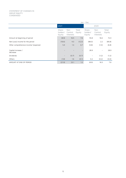|                                       | Jan - Dec                    |                              |                 |                              |                              |                 |  |  |
|---------------------------------------|------------------------------|------------------------------|-----------------|------------------------------|------------------------------|-----------------|--|--|
|                                       | 2021                         |                              |                 |                              | 2020                         |                 |  |  |
|                                       | Share-<br>holders'<br>Equity | Non<br>Control.<br>Interests | Total<br>Equity | Share-<br>holders'<br>Equity | Non<br>Control.<br>Interests | Total<br>Equity |  |  |
| Amount at beginning of period         | (8.9)                        | 16.5                         | 7.6             | 55.8                         | 16.6                         | 72.4            |  |  |
| Net (Loss) income for the period      | (16.6)                       | 4.3                          | (12.3)          | (88.0)                       | 2.2                          | (85.8)          |  |  |
| Other comprehensive income/ (expense) | 5.4                          | 1.3                          | 6.7             | (5.8)                        | (1.0)                        | (6.8)           |  |  |
| Capital increase /<br>decrease        | $\qquad \qquad -$            |                              |                 | 28.9                         | $\overline{\phantom{a}}$     | 28.9            |  |  |
| <b>Dividends</b>                      | $\overline{\phantom{a}}$     | (0.7)                        | (0.7)           | -                            | (1.2)                        | (1.2)           |  |  |
| Others                                | (1.8)                        | 1.6                          | (0.1)           | 0.2                          | (0.2)                        | (0.0)           |  |  |
| AMOUNT AT END OF PERIOD               | (21.9)                       | 23.1                         | 1.2             | (8.9)                        | 16.5                         | 7.6             |  |  |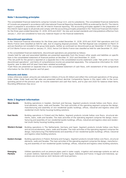## **Note 1 Accounting principles**

The consolidated financial statements comprise Consolis Group S.A.S. and its subsidiaries. The consolidated financial statements of Consolis are prepared in accordance with International Financial Reporting Standards (IFRS) as endorsed by the EU. The interim report is prepared in accordance with IAS 34 Interim financial reporting. The accounting principles applied in the preparation of this interim report apply to all periods and comply with the accounting principles presented in the "Historical Financial Information for the three years ended December 31. 2018. 2019 and 2020". No new and revised standards and interpretations effective from January 1, 2021 are considered to have any material impact on the financial statements.

#### **Discontinued operations**

In the "Historical Financial Information for the three years ended December 31, 2018. 2019 and 2020" Rail operations and Civil Works France were classified as held for sale, due to ongoing disposal processes. The Rail disposal was completed on March 31 and are therefore not included in the group total assets, neither as continued nor discontinued as per December 31 2021. Closing of Civil Works France occured on January 31, 2022, hence Civil Works France was classifed as held for sale December 31, 2021.

In the consolidated financial statements, discontinued operations are presented as follows:

•Assets held for sale and associated liabilities are presented separately from the Group's other assets and liabilities on specific lines in the consolidated statement of financial position at Decmber 31. 2021 and December 31. 2020.

•The net profit for the period is reported on a separate line in the consolidated income statement under "Net profit or loss from discontinued operations", and items of comprehensive income are presented separately. The comparative information for 2020 (quarter. year to date and full year) have been restated accordingly.

•Cash flows are presented on separate lines in the consolidated statement of cash flows, with restatement of the comparative information for the 2020 (quarter and full year).

#### **Amounts and dates**

Unless otherwise stated, amounts are indicated in millions of Euros ( $\epsilon$  million) and reflect the continued operations of the group. Order intake, Order book and Net sales are presented without decimal. Comparative figures in this report refer to the corresponding period of the previous year for income statement and cash flow items, and to year end 2020 for balance sheet items. Rounding differences may occur.

## **Note 2 Segment information**

| <b>West Nordic</b>                | Building operations in Sweden, Denmark and Norway. Segment products include hollow core floors, struc-<br>tural elements, stairs, walls and facades. The main activities of the operating segment comprise the design,<br>manufacturing and assembly of non-residential (public buildings, offices, industrial and logistics sites) and<br>residential (multi-family housing) building solutions.  |
|-----------------------------------|----------------------------------------------------------------------------------------------------------------------------------------------------------------------------------------------------------------------------------------------------------------------------------------------------------------------------------------------------------------------------------------------------|
| <b>East Nordic</b>                | Building operations in Finland and the Baltics. Segment products include hollow core floors, structural ele-<br>ments, stairs, walls and facades. The main activities of the operating segment comprise the design, manu-<br>facturing and assembly of non-residential (public buildings, offices, industrial and logistics sites) and residen-<br>tial (multi-family housing) building solutions. |
| <b>Western Europe</b>             | Building operations in The Netherlands, Germany and Spain. Segment products include hollow core floors<br>and structural elements, stairs, walls and facades. The main activities of the operating segment comprise the<br>design, manufacturing (The Netherlands) and assembly of non-residential (public buildings. offices. industrial<br>and logistics sites) building solutions.              |
| <b>Eastern Europe</b>             | Building operations in Poland, Romania and Hungary. Segment products include hollow core floors, structural<br>elements, walls and facades. The main activities of the operating segment comprise the design, manufactur-<br>ing and assembly of non-residential (public buildings, offices, industrial and logistics sites) building solutions.                                                   |
| <b>Emerging</b><br><b>Markets</b> | Utilities operations such as pressure pipes used in water supply, irrigation and sewerage systems as well as<br>in power stations. Operations are based in Tunisia, Egypt, Indonesia and France. In Egypt and Indonesia, op-<br>erations are structured as Joint Ventures with local partners.                                                                                                     |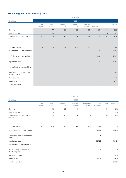## **Note 2 Segment information (cont)**

|                                                  |                |                |                   | Oct-Dec           |                     |                 |                |          |
|--------------------------------------------------|----------------|----------------|-------------------|-------------------|---------------------|-----------------|----------------|----------|
| $(\in$ million)                                  |                |                |                   | 2021              |                     |                 |                |          |
|                                                  | West<br>Nordic | East<br>Nordic | Western<br>Europe | Eastern<br>Europe | Emerging<br>Markets | Un<br>allocated | Elim           | Consolis |
| Net sales                                        | 108            | 77             | 69                | 23                | 38                  | (O)             | (7)            | 308      |
| Internal transactions                            |                | (7)            |                   |                   |                     |                 | $\overline{7}$ | (O)      |
| Revenues from external cus-<br>tomers            | 108            | 70             | 69                | 23                | 38                  | (O)             | (O)            | 308      |
| Adjusted EBITDA                                  | (1.4)          | 5.0            | 6.7               | 0.8               | 7.5                 | 2.1             |                | 20.7     |
| Depreciation and amortization                    |                |                |                   |                   |                     | (13.0)          |                | (13.0)   |
| Profit (loss) from sales of fixed<br>assets      |                |                |                   |                   |                     | (0.0)           |                | (0.0)    |
| Impairment loss                                  |                |                |                   |                   |                     | (2.0)           |                | (2.0)    |
| Items affecting comparability:                   |                |                |                   |                   |                     |                 |                |          |
| Non recurring items and re-<br>structuring costs |                |                |                   |                   |                     | 6.5             |                | 6.5      |
| Operating income                                 |                |                |                   |                   |                     |                 |                | 12.3     |
| Financial net                                    |                |                |                   |                   |                     | (7.2)           |                | (7.2)    |
| Result before taxes                              |                |                |                   |                   |                     |                 |                | 5.0      |

|                                                  |                |                |                   | Oct-Dec           |                     |                          |      |          |
|--------------------------------------------------|----------------|----------------|-------------------|-------------------|---------------------|--------------------------|------|----------|
| $(\in$ million)                                  |                |                |                   | 2020              |                     |                          |      |          |
|                                                  | West<br>Nordic | East<br>Nordic | Western<br>Europe | Eastern<br>Europe | Emerging<br>Markets | Un<br>allocated          | Elim | Consolis |
| Net sales                                        | 99             | 62             | 60                | 16                | 30                  | $\overline{\phantom{a}}$ | (4)  | 262      |
| Internal transactions                            |                | (3)            |                   |                   |                     |                          | 3    | (0)      |
| Revenues from external cus-<br>tomers            | 99             | 58             | 60                | 16                | 30                  | $\overline{\phantom{a}}$ | (1)  | 262      |
| Adjusted EBITDA                                  | 5.6            | 5.9            | 11.1              | 1.4               | 4.6                 | (0.9)                    |      | 27.6     |
| Depreciation and amortization                    |                |                |                   |                   |                     | (15.6)                   |      | (15.6)   |
| Profit (loss) from sales of fixed<br>assets      |                |                |                   |                   |                     | 5.1                      |      | 5.1      |
| Impairment loss                                  |                |                |                   |                   |                     | (29.2)                   |      | (29.2)   |
| Items affecting comparability:                   |                |                |                   |                   |                     |                          |      |          |
| Non recurring items and re-<br>structuring costs |                |                |                   |                   |                     | 2.8                      |      | 2.8      |
| Operating income                                 |                |                |                   |                   |                     |                          |      | (9.3)    |
| Financial net                                    |                |                |                   |                   |                     | (9.7)                    |      | (9.7)    |
| Result before taxes                              |                |                |                   |                   |                     |                          |      | (18.9)   |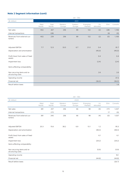## **Note 2 Segment information (cont)**

|                                                  |                |                |                   | Jan - Dec         |                     |                 |      |          |
|--------------------------------------------------|----------------|----------------|-------------------|-------------------|---------------------|-----------------|------|----------|
| $(\in$ million)                                  |                |                |                   | 2021              |                     |                 |      |          |
|                                                  | West<br>Nordic | East<br>Nordic | Western<br>Europe | Eastern<br>Europe | Emerging<br>Markets | Un<br>allocated | Elim | Consolis |
| Net sales                                        | 402            | 267            | 256               | 89                | 122                 | (2)             | (28) | 1,106    |
| Internal transactions                            |                | (28)           |                   |                   |                     |                 | 28   | (0)      |
| Revenues from external cus-<br>tomers            | 402            | 239            | 256               | 89                | 122                 | (2)             | (O)  | 1,106    |
| Adjusted EBITDA                                  | 7.7            | 12.5           | 33.5              | 6.7               | 21.0                | 0.4             |      | 81.7     |
| Depreciation and amortization                    |                |                |                   |                   |                     | (45.0)          |      | (45.0)   |
| Profit (loss) from sales of fixed<br>assets      |                |                |                   |                   |                     | 0.4             |      | 0.4      |
| Impairment loss                                  |                |                |                   |                   |                     | (2.4)           |      | (2.4)    |
| Items affecting comparability:                   |                |                |                   |                   |                     |                 |      |          |
| Non recurring items and re-<br>structuring costs |                |                |                   |                   |                     | 2.6             |      | 2.6      |
| Operating income                                 |                |                |                   |                   |                     |                 |      | 37.3     |
| Financial net                                    |                |                |                   |                   |                     | (36.0)          |      | (36.0)   |
| Result before taxes                              |                |                |                   |                   |                     |                 |      | 1.4      |

|                                                  |                |                |                   | Jan - Dec         |                     |                 |      |          |
|--------------------------------------------------|----------------|----------------|-------------------|-------------------|---------------------|-----------------|------|----------|
| $(\epsilon$ million)                             |                |                |                   | 2020              |                     |                 |      |          |
|                                                  | West<br>Nordic | East<br>Nordic | Western<br>Europe | Eastern<br>Europe | Emerging<br>Markets | Un<br>allocated | Elim | Consolis |
| Net sales                                        | 381            | 257            | 256               | 66                | 98                  | (4)             | (17) | 1,037    |
| Internal transactions                            |                | (17)           |                   |                   |                     |                 | 17   | (0)      |
| Revenues from external cus-<br>tomers            | 381            | 240            | 256               | 66                | 98                  | (4)             | (0)  | 1.037    |
| Adjusted EBITDA                                  | 20.3           | 15.6           | 38.2              | 6.9               | 13.1                | 1.2             |      | 95.3     |
| Depreciation and amortization                    |                |                |                   |                   |                     | (48.3)          |      | (48.3)   |
| Profit (loss) from sales of fixed<br>assets      |                |                |                   |                   |                     | 6.1             |      | 6.1      |
| Impairment loss                                  |                |                |                   |                   |                     | (29.2)          |      | (29.2)   |
| Items affecting comparability:                   |                |                |                   |                   |                     |                 |      |          |
| Non recurring items and re-<br>structuring costs |                |                |                   |                   |                     | (5.9)           |      | (5.9)    |
| Operating income                                 |                |                |                   |                   |                     |                 |      | 18.1     |
| Financial net                                    |                |                |                   |                   |                     | (44.8)          |      | (44.8)   |
| Result before taxes                              |                |                |                   |                   |                     |                 |      | (26.7)   |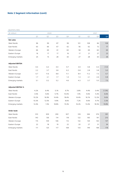## **Note 2 Segment information (cont)**

Quarterly data

| (€ million)              |       | 2020  |       |       |       | 2021  |       |        |
|--------------------------|-------|-------|-------|-------|-------|-------|-------|--------|
|                          | Q1    | Q2    | Q3    | Q4    | Q1    | Q2    | Q3    | Q4     |
| <b>Net sales</b>         |       |       |       |       |       |       |       |        |
| West Nordic              | 96    | 99    | 87    | 99    | 101   | 108   | 84    | 108    |
| East Nordic              | 63    | 66    | 67    | 62    | 56    | 62    | 72    | 77     |
| Western Europe           | 66    | 69    | 61    | 60    | 58    | 69    | 60    | 69     |
| Eastern Europe           | 16    | 17    | 17    | 16    | 17    | 21    | 27    | 23     |
| Emerging markets         | 25    | 15    | 28    | 30    | 27    | 28    | 30    | 38     |
| <b>Adjusted EBITDA</b>   |       |       |       |       |       |       |       |        |
| West Nordic              | 4.0   | 6.3   | 4.4   | 9.7   | 3.9   | 4.8   | 0.3   | (1.4)  |
| East Nordic              | 2.2   | 3.7   | 3.8   | 6.2   | 0.8   | 2.8   | 3.8   | 5.0    |
| Western Europe           | 6.7   | 11.6  | 8.8   | 11.1  | 8.4   | 11.2  | 7.3   | 6.7    |
| Eastern Europe           | 1.7   | 2.1   | 1.7   | 1.4   | 1.3   | 2.1   | 2.6   | 0.8    |
| Emerging markets         | 3.1   | 0.2   | 5.2   | 4.6   | 4.3   | 3.7   | 5.5   | 7.5    |
| <b>Adjusted EBITDA %</b> |       |       |       |       |       |       |       |        |
| West Nordic              | 4.2%  | 6.4%  | 5.1%  | 9.7%  | 3.8%  | 4.4%  | 0.4%  | (1.3%) |
| East Nordic              | 3.5%  | 5.6%  | 5.7%  | 10.0% | 1.4%  | 4.6%  | 5.3%  | 6.6%   |
| Western Europe           | 10.2% | 16.9% | 14.4% | 18.4% | 14.4% | 16.1% | 12.2% | 9.6%   |
| Eastern Europe           | 10.3% | 12.5% | 9.9%  | 8.6%  | 7.2%  | 9.6%  | 9.7%  | 3.3%   |
| Emerging markets         | 12.4% | 1.5%  | 18.8% | 15.3% | 16.2% | 13.4% | 18.3% | 19.8%  |
| Order book               |       |       |       |       |       |       |       |        |
| West Nordic              | 310   | 309   | 290   | 307   | 318   | 346   | 376   | 391    |
| East Nordic              | 143   | 136   | 114   | 118   | 122   | 165   | 191   | 210    |
| Western Europe           | 115   | 109   | 106   | 112   | 132   | 134   | 130   | 137    |
| Eastern Europe           | 22    | 18    | 19    | 22    | 20    | 27    | 31    | 34     |
| Emerging markets         | 111   | 125   | 117   | 108   | 133   | 149   | 168   | 178    |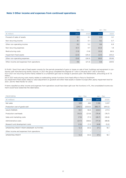## **Note 3 Other income and expenses from continued operations**

|                                           |       | Oct - Dec | Jan - Dec |        |  |
|-------------------------------------------|-------|-----------|-----------|--------|--|
| $(\in$ million)                           | 2021  | 2020      | 2021      | 2020   |  |
| Proceed of sales of assets                | 0.1   | 5.1       | 0.4       | 6.1    |  |
| Non-recurring income                      | 8.1   | O.1       | 8.2       | 0.7    |  |
| Other non-operating income                | 8.2   | 5.2       | 8.6       | 6.9    |  |
| Non-recurring expenses                    | (0.1) | 4.7       | (0.3)     | 1.8    |  |
| Restructuring costs                       | (1.5) | (1.9)     | (5.3)     | (8.3)  |  |
| Impairment fixed assets                   | (2.0) | (29.2)    | (2.4)     | (29.2) |  |
| Other non-operating expenses              | (3.6) | (26.5)    | (8.0)     | (35.8) |  |
| Other income and expenses from operations | 4.6   | (21.3)    | 0.6       | (28.9) |  |

(i) Profit / (loss) from sale of fixed assets consists for the periods presented of gains or losses on sale of land, buildings and equipment in connection with manufacturing facility closures. In 2021 the group completed the disposal of 1 site in Lithuania and 1 site in Germany. (ii) In 2021 non recurring income mainly related to a curtailment gain due to change in pensions plan i the Netherlands, amounting to € 7.6 million.

(iii) In 2021 restructuring costs mainly relates to reallocating certain functions from head office in Paris to Stockholm

(iv) Impairment fixed assets reltes to value adjustment on goodwill and other fixed assets in Eastern Europe after yearly impairment test for 2021, and for West Nordic for 2020.

If items classifed as other income and expenses from operations would have been split over the functions in PL, the consoldated income stament would have looked like the tabel below.

| <b>PROFORMA</b>                           | Oct - Dec |                          | Jan - Dec |         |  |
|-------------------------------------------|-----------|--------------------------|-----------|---------|--|
| $(\epsilon$ million)                      | 2021      | 2020                     | 2021      | 2020    |  |
| Net sales                                 | 308       | 262                      | 1,106     | 1,037   |  |
| Production cost of goods sold             | (249.1)   | (203.0)                  | (882.7)   | (819.2) |  |
| <b>SALES MARGIN</b>                       | 59.1      | 59.4                     | 223.4     | 217.5   |  |
| Production overheads                      | (16.3)    | (21.9)                   | (75.4)    | (78.7)  |  |
| Sales and marketing costs                 | (7.9)     | (7.1)                    | (28.7)    | (26.6)  |  |
| Administrative costs                      | (21.7)    | (38.6)                   | (77.3)    | (88.8)  |  |
| Research and development costs            | (1.0)     | (1.1)                    | (4.8)     | (5.2)   |  |
| OPERATING PROFIT FROM ORDINARY ACTIVITIES | 12.3      | (9.3)                    | 37.3      | 18.1    |  |
| Other income and expenses from operations |           | $\overline{\phantom{a}}$ |           |         |  |
| OPERATING PROFIT                          | 12.3      | (9.3)                    | 37.3      | 18.1    |  |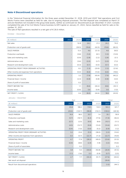## **Note 4 Discontinued operations**

In the "Historical Financial Information for the three years ended December 31. 2018. 2019 and 2020" Rail operations and Civil Works France were classified as held for sale, due to ongoing disposal processes. The Rail disposal was completed on March 31 and are therefore not included in the group total assets, neither as continued nor discontinued as per December 31 2021. Consolis completed the sale of its Civil Works France business to EIM Capital on January 31, 2022, hence classifed as held for sale on December 31, 2021.

The sale of Rail operations resulted in a net gain of  $\epsilon$  26.6 million.

October - December

|                                           | Rail |        | <b>CWF</b> |        | Total  |        |
|-------------------------------------------|------|--------|------------|--------|--------|--------|
| $(\epsilon$ million)                      | 2021 | 2020   | 2021       | 2020   | 2021   | 2020   |
| Net sales                                 |      | 52.8   | 24.2       | 21.3   | 24.2   | 74.0   |
| Production cost of goods sold             |      | (39.5) | (19.6)     | (42.5) | (19.6) | (82.0) |
| <b>SALES MARGIN</b>                       |      | 13.3   | 4.6        | (21.3) | 4.6    | (8.0)  |
| Production overheads                      |      | (5.8)  | (1.0)      | (8.1)  | (1.0)  | (13.9) |
| Sales and marketing costs                 |      | (0.9)  | (2.8)      | (2.2)  | (2.8)  | (3.1)  |
| Administrative costs                      |      | (3.6)  | (2.0)      | (3.7)  | (2.0)  | (7.2)  |
| Research and development costs            |      | (0.3)  | (0.1)      | (0.0)  | (0.1)  | (0.3)  |
| OPERATING PROFIT FROM ORDINARY ACTIVITIES |      | 8.2    | (1.3)      | (29.9) | (1.3)  | (21.6) |
| Other income and expenses from operations |      | (5.0)  | (6.6)      | (13.6) | (6.6)  | (18.6) |
| OPERATING PROFIT                          |      | 3.2    | (7.9)      | (43.4) | (7.9)  | (40.2) |
| Financial (loss) / income                 |      | (2.3)  | (0.8)      | (0.8)  | (0.8)  | (3.0)  |
| Share of profit of associates             |      | 0.2    |            |        |        | 0.2    |
| PROFIT BEFORE TAX                         |      | 1.1    | (8.6)      | (44.2) | (8.6)  | (43.1) |
| Income taxes                              |      | (0.6)  | 0.6        | (0.4)  | 0.6    | (1.0)  |
| NET PROFIT / (LOSS)                       |      | 0.6    | (8.0)      | (44.6) | 18.6   | (43.9) |

January - December

|                                           |                          | Rail    | <b>CWF</b> |                          | Total   |         |
|-------------------------------------------|--------------------------|---------|------------|--------------------------|---------|---------|
| $(\epsilon$ million)                      | 2021                     | 2020    | 2021       | 2020                     | 2021    | 2020    |
| Net sales                                 | 43.8                     | 188.2   | 119.5      | 133.5                    | 163.3   | 321.7   |
| Production cost of goods sold             | (29.4)                   | (129.7) | (98.8)     | (132.1)                  | (128.2) | (261.8) |
| <b>SALES MARGIN</b>                       | 14.4                     | 58.5    | 20.7       | 1.4                      | 35.1    | 59.9    |
| Production overheads                      | (5.7)                    | (18.7)  | (6.3)      | (17.6)                   | (11.9)  | (36.3)  |
| Sales and marketing costs                 | (0.7)                    | (2.5)   | (9.5)      | (8.6)                    | (10.1)  | (11.1)  |
| Administrative costs                      | (4.5)                    | (12.7)  | (9.9)      | (13.0)                   | (14.4)  | (25.7)  |
| Research and development costs            | (0.4)                    | (1.0)   | (0.6)      | (0.2)                    | (0.9)   | (1.2)   |
| OPERATING PROFIT FROM ORDINARY ACTIVITIES | 3.2                      | 23.6    | (5.5)      | (38.0)                   | (2.3)   | (14.4)  |
| Other income and expenses from operations | 0.0                      | (5.7)   | (22.7)     | (11.3)                   | (22.7)  | (16.9)  |
| <b>OPERATING PROFIT</b>                   | 4.7                      | 17.9    | (28.2)     | (49.0)                   | (23.6)  | (31.0)  |
| Financial (loss) / income                 | (0.9)                    | (8.8)   | (2.4)      | (1.8)                    | (3.3)   | (10.6)  |
| Share of profit of associates             | $\overline{\phantom{0}}$ | 0.2     |            | $\overline{\phantom{a}}$ |         | 0.2     |
| PROFIT BEFORE TAX                         | 3.8                      | 9.3     | (30.6)     | (50.8)                   | (26.9)  | (41.5)  |
| Income taxes                              | (1.1)                    | (1.6)   | 0.3        | (0.9)                    | (0.7)   | (2.5)   |
| NET PROFIT / (LOSS)                       | 2.7                      | 7.7     | (30.3)     | (51.7)                   | (27.6)  | (44.0)  |
| Net result rail disposal                  |                          |         |            |                          | (26.6)  |         |
| Result from discontinued operations       |                          |         |            |                          | (1.0)   | (44.1)  |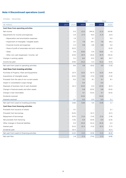## **Note 4 Discontinued operations (cont)**

October - December

|                                                    | Rail                     |                          | <b>CWF</b> |                          | Total |        |
|----------------------------------------------------|--------------------------|--------------------------|------------|--------------------------|-------|--------|
| $(\epsilon$ million)                               | 2021                     | 2020                     | 2021       | 2020                     | 2021  | 2020   |
| Cash flows from operating activities               |                          |                          |            |                          |       |        |
| Net income                                         | $\overline{\phantom{0}}$ | 0.5                      | (2.2)      | (44.3)                   | (2.2) | (43.8) |
| Adjustments for income and expenses:               |                          | 3.9                      | (1.7)      | 19.0                     | (1.7) | 22.9   |
| - Depreciation and amortization expenses           |                          | 1.9                      |            | 3.1                      |       | 5.0    |
| - Impairment of intangible / tangible assets       |                          | 0.1                      | 7.8        | 24.1                     | 7.8   | 24.2   |
| - Financial income and expenses                    | $\qquad \qquad -$        | 2.3                      | 0.8        | 0.8                      | 0.8   | 3.0    |
| - Share of profit of associates and joint-ventures |                          | (0.2)                    |            | $\overline{\phantom{a}}$ |       | (0.2)  |
| - Taxes                                            |                          | 0.6                      | (0.6)      | 0.4                      | (0.6) | 1.0    |
| - Other non-cash (expenses) / income. net          | $\overline{a}$           | (0.9)                    | (9.7)      | (9.4)                    | (9.7) | (10.3) |
| Change in working capital                          |                          | 5.2                      | 8.0        | 15.5                     | 8.0   | 20.7   |
| Income tax paid                                    |                          | (0.8)                    | (0.2)      | 0.3                      | (0.2) | (0.5)  |
| Net cash from (used in) operating activities       | $\overline{\phantom{m}}$ | 8.6                      | 3.9        | (9.6)                    | 3.9   | (1.0)  |
| Cash flows from investing activities               |                          |                          |            |                          |       |        |
| Purchase of Property. Plant and Equipments         |                          | (3.7)                    | (3.2)      | (0.7)                    | (3.2) | (4.4)  |
| Acquisitions of intangible assets                  |                          | (0.0)                    | (1.6)      | (1.5)                    | (1.6) | (1.5)  |
| Proceeds from the sale of non-current assets       |                          | 0.0                      | 0.1        | 8.1                      | 0.1   | 8.1    |
| Impact in consolidation scope change               |                          | $\overline{\phantom{a}}$ | 0.0        | $\overline{\phantom{a}}$ | 0.0   |        |
| Disposals of business (net of cash divested)       |                          | (0.1)                    | (0.0)      | 0.0                      | (0.0) | (0.1)  |
| Change in financial assets and other assets        |                          | $\overline{\phantom{0}}$ | 0.8        | (0.0)                    | 0.8   | (0.0)  |
| Change in loan receivables                         |                          | $\overline{\phantom{a}}$ | 0.1        | (0.0)                    | 0.1   | (0.0)  |
| Dividends received                                 |                          | $\overline{\phantom{0}}$ | (0.0)      | $\overline{\phantom{a}}$ | (0.0) |        |
| Interests received                                 |                          | 0.1                      | 0.0        | 0.0                      | 0.0   | 0.1    |
| Net cash from (used in) investing activities       |                          | (3.8)                    | (3.8)      | 5.9                      | (3.8) | 2.1    |
| Cash flows from financing activities               |                          |                          |            |                          |       |        |
| Proceeds from issuance of shares                   |                          | 0.1                      |            |                          |       | 0.1    |
| Proceeds from borrowings                           |                          | (0.0)                    |            | (0.1)                    |       | (0.1)  |
| Repayment of borrowings                            | $\overline{\phantom{a}}$ | (0.5)                    | (1.2)      | (1.4)                    | (1.2) | (1.9)  |
| Net proceeds from factoring                        |                          | (1.6)                    | 0.4        | (0.9)                    | 0.4   | (2.5)  |
| Other changes in financial liabilities             |                          | 0.4                      | (0.3)      | (0.2)                    | (0.3) | 0.3    |
| Interest paid                                      | $\overline{\phantom{a}}$ | (0.3)                    | (0.1)      | (1.5)                    | (0.1) | (1.7)  |
| Dividends paid                                     |                          | (0.1)                    |            |                          |       | (0.1)  |
| Net cash from (used in) financing activities       | $\overline{\phantom{a}}$ | (2.0)                    | (1.2)      | (3.9)                    | (1.2) | (6.0)  |
| Net cash flow                                      | $\overline{\phantom{a}}$ | $2.8\,$                  | (1.1)      | (7.6)                    | (1.1) | (4.8)  |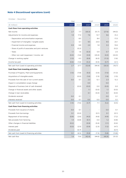## **Note 4 Discontinued operations (cont)**

October - December

|                                                    | Rail                     |                          | <b>CWF</b> |                          | Total                    |        |
|----------------------------------------------------|--------------------------|--------------------------|------------|--------------------------|--------------------------|--------|
| $(\in$ million)                                    | 2021                     | 2020                     | 2021       | 2020                     | 2021                     | 2020   |
| Cash flows from operating activities               |                          |                          |            |                          |                          |        |
| Net income                                         | 2.7                      | 7.7                      | (30.3)     | (51.7)                   | (27.6)                   | (44.0) |
| Adjustments for income and expenses:               | 1.9                      | 17.4                     | 7.6        | 13.7                     | 9.6                      | 31.2   |
| - Depreciation and amortization expenses           |                          | 8.5                      |            | 8.4                      | $\overline{\phantom{a}}$ | 17.0   |
| - Impairment of intangible / tangible assets       | $\overline{\phantom{a}}$ | 0.1                      | 9.5        | 23.0                     | 9.5                      | 23.1   |
| - Financial income and expenses                    | 0.9                      | 8.8                      | 2.4        | 1.8                      | 3.3                      | 10.6   |
| - Share of profit of associates and joint-ventures |                          | (0.2)                    |            | $\overline{\phantom{a}}$ |                          | (0.2)  |
| - Taxes                                            | 1.1                      | 1.6                      | (0.3)      | 0.9                      | 0.7                      | 2.5    |
| - Other non-cash (expenses) / income. net          | (0.0)                    | (1.6)                    | (3.9)      | (20.4)                   | (4.0)                    | (22.0) |
| Change in working capital                          | (1.3)                    | 4.3                      | (9.9)      | (6.0)                    | (11.3)                   | (1.6)  |
| Income tax paid                                    | (0.6)                    | (1.6)                    | (0.2)      | (0.5)                    | (0.7)                    | (2.1)  |
| Net cash from (used in) operating activities       | 2.7                      | 27.7                     | (32.8)     | (44.4)                   | (30.0)                   | (16.7) |
| Cash flows from investing activities               |                          |                          |            |                          |                          |        |
| Purchase of Property. Plant and Equipments         | (1.5)                    | (7.8)                    | (5.5)      | (3.5)                    | (7.0)                    | (11.3) |
| Acquisitions of intangible assets                  |                          | (0.0)                    | (1.6)      | (1.5)                    | (1.6)                    | (1.5)  |
| Proceeds from the sale of non-current assets       | 0.0                      | 0.1                      | 2.3        | 12.1                     | 2.3                      | 12.2   |
| Impact in consolidation scope change               |                          | $\overline{\phantom{a}}$ | 0.0        | $\overline{\phantom{a}}$ | 0.0                      |        |
| Disposals of business (net of cash divested)       | $\qquad \qquad -$        | (0.0)                    | (0.0)      | 0.0                      | (0.0)                    | 0.0    |
| Change in financial assets and other assets        | $\overline{a}$           | $\overline{\phantom{a}}$ | 1.1        | (0.0)                    | 1.1                      | (0.0)  |
| Change in loan receivables                         |                          | $\overline{\phantom{a}}$ | 0.1        | (0.0)                    | 0.1                      | (0.0)  |
| Dividends received                                 | 0.0                      | 0.1                      |            | $\overline{\phantom{a}}$ | 0.0                      | O.1    |
| Interests received                                 | 0.0                      | 0.1                      | 0.0        | 0.0                      | 0.0                      | 0.1    |
| Net cash from (used in) investing activities       | (1.4)                    | (7.6)                    | (3.7)      | 7.1                      | (5.2)                    | (0.5)  |
| Cash flows from financing activities               |                          |                          |            |                          |                          |        |
| Proceeds from issuance of shares                   | 0.0                      | 0.1                      |            | $\overline{\phantom{a}}$ | 0.0                      | O.1    |
| Proceeds from borrowings                           | 0.1                      | (0.0)                    |            | (0.1)                    | 0.1                      | (0.1)  |
| Repayment of borrowings                            | (0.9)                    | (2.6)                    | (4.0)      | (4.6)                    | (4.9)                    | (7.2)  |
| Net proceeds from factoring                        | 1.4                      | (0.8)                    | (0.1)      | 0.0                      | 1.2                      | (0.8)  |
| Other changes in financial liabilities             | (0.2)                    | $\overline{\phantom{a}}$ | (0.9)      | (0.4)                    | (1.1)                    | (0.4)  |
| Interest paid                                      | (0.3)                    | (2.5)                    | (0.9)      | (2.3)                    | (1.2)                    | (4.7)  |
| Dividends paid                                     |                          | (0.7)                    |            | $\qquad \qquad -$        |                          | (0.7)  |
| Net cash from (used in) financing activities       | 0.1                      | (6.5)                    | (5.9)      | (7.3)                    | (5.8)                    | (13.8) |
| Net cash flow                                      | 1.4                      | 13.6                     | (42.4)     | (44.6)                   | (40.9)                   | (31.0) |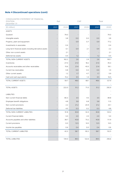## **Note 4 Discontinued operations (cont)**

| CONSOLIDATED STATEMENT OF FINANCIAL<br>POSITION.<br>December 31 | Rail                     |                          | <b>CWF</b> |                          | Total |       |
|-----------------------------------------------------------------|--------------------------|--------------------------|------------|--------------------------|-------|-------|
| $(\in$ million)                                                 | 2021                     | 2020                     | 2021       | 2020                     | 2021  | 2020  |
| <b>ASSETS</b>                                                   |                          |                          |            |                          |       |       |
| Goodwill                                                        |                          | 79.0                     |            | $\overline{\phantom{a}}$ |       | 79.0  |
| Intangible assets                                               |                          | 3.8                      | 0.0        | 0.0                      | 0.0   | 3.8   |
| Property. plant and equipment                                   |                          | $\overline{\phantom{a}}$ | 0.9        | 0.7                      | 0.9   | 77.2  |
| Investments in associates                                       |                          | 0.4                      |            | $\overline{\phantom{a}}$ |       | 0.4   |
| Long-term financial assets including derivative assets          |                          | 0.1                      | 0.4        | 2.1                      | 0.4   | 2.2   |
| Other non-current assets                                        |                          | 2.1                      |            | $\overline{\phantom{a}}$ |       | 2.1   |
| Deferred tax assets                                             | $\overline{\phantom{a}}$ | 0.5                      | 1.2        | $\overline{\phantom{a}}$ | 1.2   | 0.5   |
| TOTAL NON-CURRENT ASSETS                                        | $\overline{\phantom{a}}$ | 162.2                    | 2.6        | 2.9                      | 2.6   | 165.1 |
| Inventories                                                     |                          | 27.0                     | 21.0       | 18.2                     | 21.0  | 45.3  |
| Accounts receivables and other receivables                      |                          | 15.6                     | 21.4       | 43.5                     | 21.4  | 59.1  |
| Current tax receivables                                         |                          | 0.8                      | 0.0        | 0.3                      | 0.0   | 1.0   |
| Other current assets                                            |                          | 1.2                      | 1.7        | 4.7                      | 1.7   | 5.9   |
| Cash and cash equivalents                                       |                          | 15.2                     | 4.5        | 1.4                      | 4.5   | 16.5  |
| TOTAL CURRENT ASSETS                                            |                          | 59.7                     | 48.6       | 68.1                     | 48.6  | 127.9 |
|                                                                 | $\overline{\phantom{a}}$ |                          |            |                          |       |       |
| <b>TOTAL ASSETS</b>                                             | $\overline{\phantom{a}}$ | 222.0                    | 51.2       | 71.0                     | 51.2  | 292.9 |
|                                                                 |                          |                          |            |                          |       |       |
| <b>LIABILITIES</b>                                              |                          |                          |            |                          |       |       |
| Non-current financial debts                                     |                          | 80.3                     | 3.5        | 4.5                      | 3.5   | 84.8  |
| Employee benefit obligations                                    |                          | 4.8                      | 5.8        | 6.8                      | 5.8   | 11.5  |
| Non-current provisions                                          |                          | 2.2                      | 21.2       | 20.9                     | 21.2  | 23.1  |
| Deferred tax liabilities                                        |                          | 4.5                      | 0.3        | 0.2                      | 0.3   | 4.8   |
| TOTAL NON-CURRENT LIABILITIES                                   |                          | 91.8                     | 30.8       | 32.4                     | 30.8  | 124.2 |
| Current financial debts                                         |                          | 3.0                      | 2.0        | 2.5                      | 2.0   | 5.4   |
| Accounts payables and other liabilities                         |                          | 38.7                     | 43.8       | 73.2                     | 43.8  | 111.9 |
| Current provisions                                              |                          | 0.0                      | 12.5       | 14.5                     | 12.5  | 14.5  |
| Income tax payables                                             |                          | 0.6                      | 0.4        | 0.0                      | 0.4   | 0.6   |
| TOTAL CURRENT LIABILITIES                                       |                          | 42.3                     | 58.7       | 90.2                     | 58.7  | 132.5 |
|                                                                 |                          |                          |            |                          |       |       |
| TOTAL LIABILITIES                                               | $\overline{\phantom{a}}$ | 134.0                    | 89.5       | 122.6                    | 89.5  | 256.6 |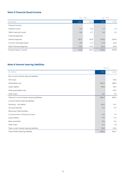## **Note 5 Financial (loss)/income**

|                           |       | Oct - Dec |        | Jan - Dec |
|---------------------------|-------|-----------|--------|-----------|
| $(\in$ million)           | 2021  | 2020      | 2021   | 2020      |
| Financial income          |       |           |        |           |
| Interest income           | 0.3   | 0.4       | 1.4    | 1.3       |
| Other financial income    | 0.8   | 0.7       | 2.0    | 2.2       |
| Financial expenses        |       |           |        |           |
| Interest expenses         | (6.7) | (9.9)     | (31.6) | (39.4)    |
| Currency exchange losses  | 0.0   | 0.7       | (1.3)  | (2.4)     |
| Other financial expenses  | (1.5) | (1.5)     | (6.3)  | (6.5)     |
| Financial (loss) / income | (7.2) | (9.7)     | (35.8) | (44.8)    |

## **Note 6 Interest bearing liabilities**

|                                                |       | Dec 31                   |
|------------------------------------------------|-------|--------------------------|
| $(\in$ million)                                | 2021  | 2020                     |
| Non-current interest-bearing liabilities       |       |                          |
| Term loan                                      |       | 93.9                     |
| Shareholder Ioan                               | 324.3 | 268.5                    |
| Lease liability                                | 54.4  | 58.3                     |
| State guaranteed Loan                          |       | 40.0                     |
| Other Ioans                                    | 3.6   | 5.5                      |
| Total non-current interest-bearing liabilities | 382.4 | 466.2                    |
| Current interest-bearing liabilities           |       |                          |
| Factoring - net liability                      | 54.0  | 33.1                     |
| Accrued interests                              | 4.2   | 6.7                      |
| Revolving Credit Facilities                    |       | $\overline{\phantom{a}}$ |
| Current portion of long-term loans             | 0.6   | 1.4                      |
| Lease liability                                | 17.5  | 17.3                     |
| Bank overdrafts                                | 0.0   | 0.3                      |
| Other loans                                    | 0.3   | 1.8                      |
| Total current interest-bearing liabilities     | 76.6  | 60.5                     |
| Total interest-bearing liabilities             | 459.0 | 526.7                    |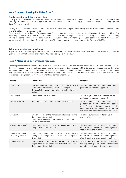## **Note 6 Interest bearing liabilities (cont.)**

#### **Bonds emission and shareholders loans**

On May 7, 2021, following the bonds emission, the term loan was reimbursed. A new loan (PIK Loan) of €50 million was raised by Compact Midco 2 B.V., indirect parent of Compact Bidco B.V. and Consolis Group. The cash was then cascaded to Compact Bidco B.V. by capital injection

On May 7, 2021 Compact Bidco B.V., parent of Consolis Group, has completed the raising of a €300 million bond, and the raising of a €75 million revolving credit facility.

The debt included in the books of Compact Bidco B.V. and a part of the cash from the capital injection of Compact Midco 2 B.V. (via Compact Midco 3 B.V.) was then cascaded to Consolis Group through a shareholder financing. The shareholder loan strictly reflects the same terms and conditions than those included in the SFA financing concluded between Compact Bidco B.V. and borrowers. with the exception of the interest rates. The intercompany loans bear interest at a fix rate of 6.58%.

#### **Reimbursement of previous loans**

As part of the re financing, a previous term loan (also cascaded down as shareholder loans) was reinbursed in May 2021. The state guaranteed loan that Consolis drew April 2020 was also repaid in May 2021.

#### **Note 7 Alternative performance measures**

Consolis presents certain financial measures in the interim report that are not defined according to IFRS. The Company believes that these measures provide valuable supplemental information to bondholders and the Company's management as they allow for evaluation of trends and the Company's performance. Since all companies do not calculate financial measures in the same way these are not always comparable to measures used by other companies. These financial measures should therefore not be considered as a replacement for measurements as defined under IFRS.

| <b>Metric</b>                                 | <b>Definition</b>                                                                                                                                                                        | <b>Purpose</b>                                                                                                                                                                                                                        |
|-----------------------------------------------|------------------------------------------------------------------------------------------------------------------------------------------------------------------------------------------|---------------------------------------------------------------------------------------------------------------------------------------------------------------------------------------------------------------------------------------|
| Order book                                    | The aggregate amount of the transaction price allo-<br>cated to the unsatisfied performance obligations. or to<br>the unsatisfied part of partially satisfied performance<br>obligations | The key figure used to monitor revenues ex-<br>pectation for the coming periods                                                                                                                                                       |
| Order intake                                  | Signed contracts in the period                                                                                                                                                           | The key figure used to monitor revenues ex-<br>pectation for the coming periods                                                                                                                                                       |
| Book-to-bill ratio                            | Ratio between the period's order intake and sales                                                                                                                                        | The key figure used to monitor revenues ex-<br>pectation on evaluation of the order book. A<br>ratio of 1 or more indicates a growing order<br>book, where a ratio below 1 indicates that<br>we "consume" more orders than we take in |
| Growth (%)                                    | Growth consists of the increase in sales in relation to<br>the comparative period.<br>The period's increase in net sales/Net sales in the<br>period of comparison                        | This key figure is used to follow up the<br>company's sales increase                                                                                                                                                                  |
| Acquired growth (%)                           | The period's net sales growth from acquisitions/the<br>comparative period's net sales                                                                                                    | The key figure used to monitor the propor-<br>tion of the company's sales growth gener-<br>ated through acquisitions                                                                                                                  |
| Foreign exchange (fx)<br>effect on growth (%) | The increase in net sales for the period attributable to<br>change in exchange rates/Net sales in the compara-<br>tive period                                                            | The key figure used to monitor the propor-<br>tion of the company's sales growth gener-<br>ated through exchange-rate fluctuations                                                                                                    |
| Organic growth (%)                            | The increase in net sales for the period adjusted for<br>acquisitions. divestments and currency/Net sales in<br>the comparative period                                                   | This key figure is used when analysing un-<br>derlying sales growth driven by comparable<br>operations between different periods                                                                                                      |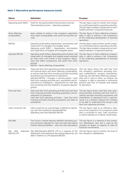## **Note 7 Alternative performance measures (cont)**

| <b>Metric</b>                                 | <b>Definition</b>                                                                                                                                                                                                                                                                                                                                                                                                                                                               | <b>Purpose</b>                                                                                                                                                                                                                                                                                                                             |
|-----------------------------------------------|---------------------------------------------------------------------------------------------------------------------------------------------------------------------------------------------------------------------------------------------------------------------------------------------------------------------------------------------------------------------------------------------------------------------------------------------------------------------------------|--------------------------------------------------------------------------------------------------------------------------------------------------------------------------------------------------------------------------------------------------------------------------------------------------------------------------------------------|
| Operating profit (EBIT)                       | Profit for the period before financial items and tax<br>Total operating income - Operating expenses                                                                                                                                                                                                                                                                                                                                                                             | The key figure used to monitor the compa-<br>ny's profit generated by operating activities.<br>This key figure enables comparisons of prof-<br>itability between companies/industries                                                                                                                                                      |
| Items affecting<br>comparability              | Items related to events in the company's operations<br>that impact comparability with profit during other pe-<br>riods                                                                                                                                                                                                                                                                                                                                                          | The key figure of Items affecting compara-<br>bility is used to achieve a fair comparison<br>of the underlying development of business<br>operations                                                                                                                                                                                       |
| <b>EBITDA</b>                                 | Operating profit before depreciation. amortization and<br>impairment of intangible and tangible assets<br>Operating profit (EBIT) + Depreciation. amortization<br>and impairment of tangible and intangible assets                                                                                                                                                                                                                                                              | The key figure used to follow up the compa-<br>ny's profit generated by operating activities.<br>This key figure enables comparisons of prof-<br>itability between companies/industries                                                                                                                                                    |
| Adjusted EBITDA                               | Operating profit before depreciation/amortization and<br>impairment of intangible and tangible assets adjusted<br>for items from such events in the company's opera-<br>tions that affect comparisons with profit from other<br>periods<br>EBITDA + Items affecting comparability                                                                                                                                                                                               | The key figure of Items affecting compara-<br>bility is used to achieve a fair comparison<br>of the underlying development of business<br>operations                                                                                                                                                                                       |
| Operating cash flow                           | Total cash flow from operating activities excluding tax.<br>net financial items and items affecting comparability.<br>as well as cash flow from investing activities excluding<br>acquisitions and divestments of operations<br>Adjusted EBITDA + Changes in working capital + Cash<br>flow from investing activities excl. acquisitions and di-<br>vestments of subsidiaries + adjustments for cash flow<br>from investing activities related to increased capacity/<br>growth | This key figure shows the cash flow from<br>the company's operations excluding busi-<br>ness combinations. company divestments.<br>financing. tax and items affecting compara-<br>bility and is used to follow up whether the<br>company is able to generate a sufficiently<br>positive cash flow to maintain and expand<br>its operations |
| Free cash flow                                | Total cash flow from operating activities and cash flow<br>from investing activities excluding acquisitions and di-<br>vestments of operations<br>Cash flow from operating activities + Cash flow from<br>investing activities excluding acquisitions and sales of<br>subsidiaries                                                                                                                                                                                              | This key figure shows cash flow from oper-<br>ating activities including cash flow from in-<br>vesting activities excluding acquisitions and<br>divestments of operations and is used be-<br>cause it is a relevant measure for investors<br>to be able to understand the Group's cash<br>flow from operating activities                   |
| Cash conversion (%)                           | Cash conversion as a percentage is defined as operat-<br>ing cash flow divided by adjusted EBITDA<br>Operating cash flow/Adjusted EBITDA                                                                                                                                                                                                                                                                                                                                        | The key figure used as an efficiency mea-<br>sure of the proportion of a company's profit<br>that is converted to cash. Cash conversion<br>is mainly followed on a twelve-month basis                                                                                                                                                      |
| Net debt                                      | The Group's interest-bearing liabilities excluding pen-<br>sion provisions adjusted for cash and cash equivalents<br>Interest-bearing liabilities - cash and cash equivalents                                                                                                                                                                                                                                                                                                   | This key figure is a measure of the compa-<br>ny's debt/equity ratio and is used by the<br>company to assess its capacity to meet its<br>financial commitments                                                                                                                                                                             |
| debt<br>/Adjusted<br>Net<br><b>EBITDA LTM</b> | Net debt/Adjusted EBITDA LTM is a measure of the The key figure used to monitor the level of<br>debt/equity ratio defined as the closing balance for net the company's indebtedness<br>debt in relation to LTM adjusted EBITDA                                                                                                                                                                                                                                                  |                                                                                                                                                                                                                                                                                                                                            |